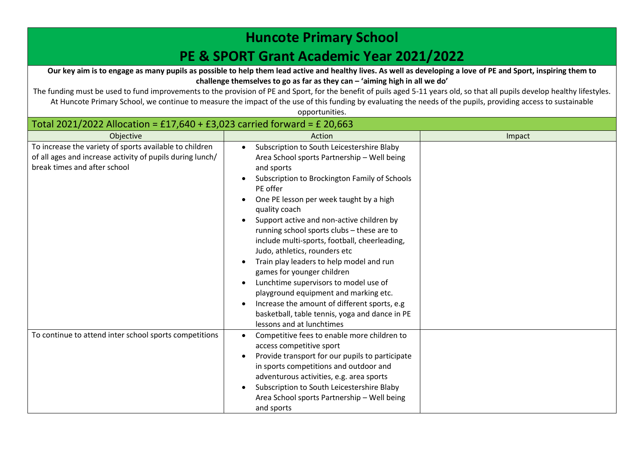## **Huncote Primary School**

## **PE & SPORT Grant Academic Year 2021/2022**

**Our key aim is to engage as many pupils as possible to help them lead active and healthy lives. As well as developing a love of PE and Sport, inspiring them to challenge themselves to go as far as they can – 'aiming high in all we do'**

The funding must be used to fund improvements to the provision of PE and Sport, for the benefit of puils aged 5-11 years old, so that all pupils develop healthy lifestyles. At Huncote Primary School, we continue to measure the impact of the use of this funding by evaluating the needs of the pupils, providing access to sustainable opportunities.

| Total 2021/2022 Allocation = £17,640 + £3,023 carried forward = £ 20,663                                                                             |                                                                                                                                                                                                                                                                                                                                                                                                                                                                                                                                                                                                                                                                                                                        |        |  |
|------------------------------------------------------------------------------------------------------------------------------------------------------|------------------------------------------------------------------------------------------------------------------------------------------------------------------------------------------------------------------------------------------------------------------------------------------------------------------------------------------------------------------------------------------------------------------------------------------------------------------------------------------------------------------------------------------------------------------------------------------------------------------------------------------------------------------------------------------------------------------------|--------|--|
| Objective                                                                                                                                            | Action                                                                                                                                                                                                                                                                                                                                                                                                                                                                                                                                                                                                                                                                                                                 | Impact |  |
| To increase the variety of sports available to children<br>of all ages and increase activity of pupils during lunch/<br>break times and after school | Subscription to South Leicestershire Blaby<br>$\bullet$<br>Area School sports Partnership - Well being<br>and sports<br>Subscription to Brockington Family of Schools<br>PE offer<br>One PE lesson per week taught by a high<br>quality coach<br>Support active and non-active children by<br>running school sports clubs - these are to<br>include multi-sports, football, cheerleading,<br>Judo, athletics, rounders etc<br>Train play leaders to help model and run<br>games for younger children<br>Lunchtime supervisors to model use of<br>playground equipment and marking etc.<br>Increase the amount of different sports, e.g.<br>basketball, table tennis, yoga and dance in PE<br>lessons and at lunchtimes |        |  |
| To continue to attend inter school sports competitions                                                                                               | Competitive fees to enable more children to<br>access competitive sport<br>Provide transport for our pupils to participate<br>in sports competitions and outdoor and<br>adventurous activities, e.g. area sports<br>Subscription to South Leicestershire Blaby<br>Area School sports Partnership - Well being<br>and sports                                                                                                                                                                                                                                                                                                                                                                                            |        |  |